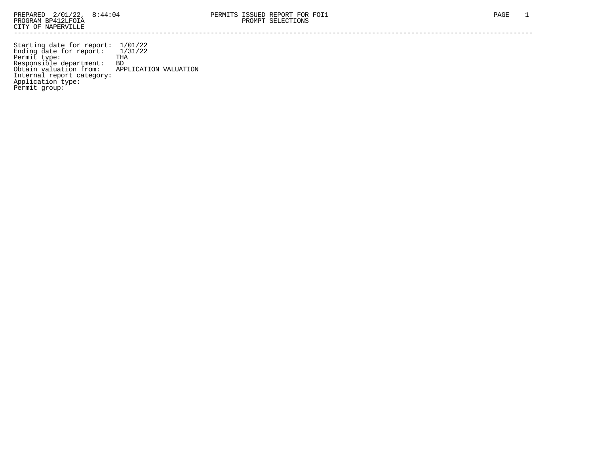Starting date for report: 1/01/22 Ending date for report: 1/31/22 Permit type: THA Responsible department: BD Obtain valuation from: APPLICATION VALUATION Internal report category: Application type: Permit group: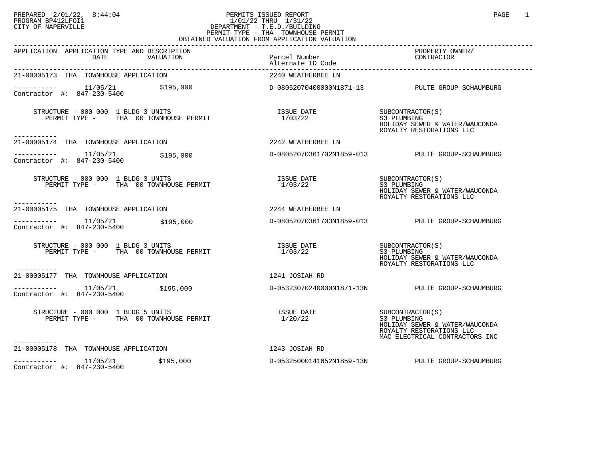## PREPARED 2/01/22, 8:44:04 PERMITS ISSUED REPORT PAGE 1 PROGRAM BP412LFOI1 1/01/22 THRU 1/31/22 CITY OF NAPERVILLE **Example 20** CITY OF NAPERVILLE PERMIT TYPE - THA TOWNHOUSE PERMIT OBTAINED VALUATION FROM APPLICATION VALUATION

| APPLICATION APPLICATION TYPE AND DESCRIPTION<br>DATE<br>VALUATION                          | Parcel Number<br>Alternate ID Code     | PROPERTY OWNER/<br>CONTRACTOR                                                                                                   |
|--------------------------------------------------------------------------------------------|----------------------------------------|---------------------------------------------------------------------------------------------------------------------------------|
| 21-00005173 THA TOWNHOUSE APPLICATION                                                      | 2240 WEATHERBEE LN                     |                                                                                                                                 |
|                                                                                            |                                        |                                                                                                                                 |
| STRUCTURE - 000 000 1 BLDG 3 UNITS<br>PERMIT TYPE - THA 00 TOWNHOUSE PERMIT<br>----------- | ISSUE DATE<br>1/03/22                  | SUBCONTRACTOR(S)<br>S3 PLUMBING<br>HOLIDAY SEWER & WATER/WAUCONDA<br>ROYALTY RESTORATIONS LLC                                   |
| 21-00005174 THA TOWNHOUSE APPLICATION                                                      | 2242 WEATHERBEE LN                     |                                                                                                                                 |
| ----------- 11/05/21<br>Contractor #: 847-230-5400<br>\$195,000                            |                                        | D-08052070361702N1859-013 PULTE GROUP-SCHAUMBURG                                                                                |
| STRUCTURE - 000 000 1 BLDG 3 UNITS<br>PERMIT TYPE - THA 00 TOWNHOUSE PERMIT                | ISSUE DATE<br>1/03/22                  | SUBCONTRACTOR(S)<br>S3 PLUMBING<br>HOLIDAY SEWER & WATER/WAUCONDA<br>ROYALTY RESTORATIONS LLC                                   |
| -----------<br>21-00005175 THA TOWNHOUSE APPLICATION                                       | 2244 WEATHERBEE LN                     |                                                                                                                                 |
| $\frac{11}{05/21}$ \$195,000<br>Contractor #: 847-230-5400                                 |                                        | D-08052070361703N1859-013 PULTE GROUP-SCHAUMBURG                                                                                |
| STRUCTURE - 000 000 1 BLDG 3 UNITS<br>PERMIT TYPE - THA 00 TOWNHOUSE PERMIT                | ISSUE DATE SUBCONTRACTOR(S)<br>1/03/22 | S3 PLUMBING<br>HOLIDAY SEWER & WATER/WAUCONDA<br>ROYALTY RESTORATIONS LLC                                                       |
| 21-00005177 THA TOWNHOUSE APPLICATION                                                      | 1241 JOSIAH RD                         |                                                                                                                                 |
| $------- 11/05/21$<br>\$195,000<br>Contractor #: 847-230-5400                              |                                        | D-05323070240000N1871-13N PULTE GROUP-SCHAUMBURG                                                                                |
| STRUCTURE - 000 000 1 BLDG 5 UNITS<br>PERMIT TYPE - THA 00 TOWNHOUSE PERMIT<br>----------- | ISSUE DATE<br>1/20/22                  | SUBCONTRACTOR(S)<br>S3 PLUMBING<br>HOLIDAY SEWER & WATER/WAUCONDA<br>ROYALTY RESTORATIONS LLC<br>MAC ELECTRICAL CONTRACTORS INC |
| 21-00005178 THA TOWNHOUSE APPLICATION                                                      | 1243 JOSIAH RD                         |                                                                                                                                 |
| $--------- 11/05/21$ \$195,000<br>Contractor #: 847-230-5400                               |                                        | D-05325000141652N1859-13N PULTE GROUP-SCHAUMBURG                                                                                |